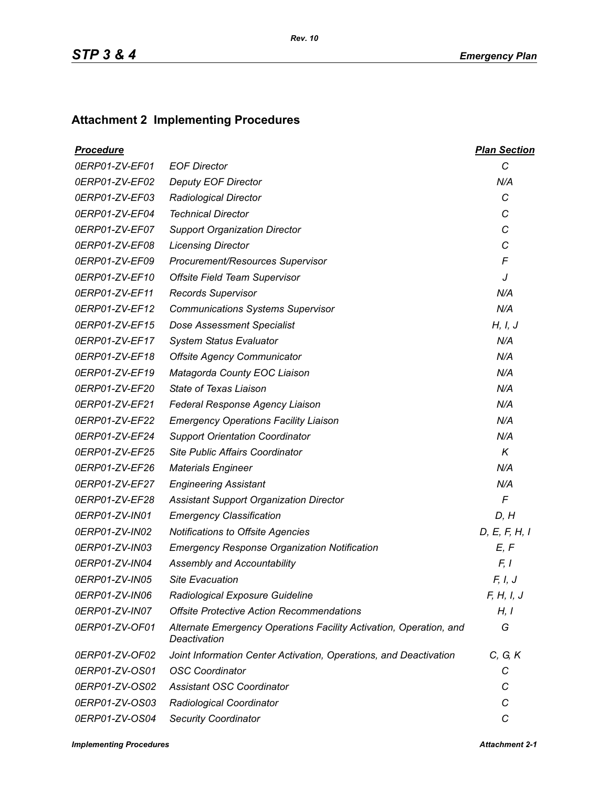## **Attachment 2 Implementing Procedures**

| <u>Procedure</u> |                                                                                    | <b>Plan Section</b> |
|------------------|------------------------------------------------------------------------------------|---------------------|
| 0ERP01-ZV-EF01   | <b>EOF Director</b>                                                                | C                   |
| 0ERP01-ZV-EF02   | <b>Deputy EOF Director</b>                                                         | N/A                 |
| 0ERP01-ZV-EF03   | <b>Radiological Director</b>                                                       | C                   |
| 0ERP01-ZV-EF04   | <b>Technical Director</b>                                                          | C                   |
| 0ERP01-ZV-EF07   | <b>Support Organization Director</b>                                               | C                   |
| 0ERP01-ZV-EF08   | <b>Licensing Director</b>                                                          | C                   |
| 0ERP01-ZV-EF09   | Procurement/Resources Supervisor                                                   | F                   |
| 0ERP01-ZV-EF10   | Offsite Field Team Supervisor                                                      | J                   |
| 0ERP01-ZV-EF11   | <b>Records Supervisor</b>                                                          | N/A                 |
| 0ERP01-ZV-EF12   | <b>Communications Systems Supervisor</b>                                           | N/A                 |
| 0ERP01-ZV-EF15   | <b>Dose Assessment Specialist</b>                                                  | H, I, J             |
| 0ERP01-ZV-EF17   | <b>System Status Evaluator</b>                                                     | N/A                 |
| 0ERP01-ZV-EF18   | <b>Offsite Agency Communicator</b>                                                 | N/A                 |
| 0ERP01-ZV-EF19   | Matagorda County EOC Liaison                                                       | N/A                 |
| 0ERP01-ZV-EF20   | State of Texas Liaison                                                             | N/A                 |
| 0ERP01-ZV-EF21   | Federal Response Agency Liaison                                                    | N/A                 |
| 0ERP01-ZV-EF22   | <b>Emergency Operations Facility Liaison</b>                                       | N/A                 |
| 0ERP01-ZV-EF24   | <b>Support Orientation Coordinator</b>                                             | N/A                 |
| 0ERP01-ZV-EF25   | <b>Site Public Affairs Coordinator</b>                                             | K                   |
| 0ERP01-ZV-EF26   | <b>Materials Engineer</b>                                                          | N/A                 |
| 0ERP01-ZV-EF27   | <b>Engineering Assistant</b>                                                       | N/A                 |
| 0ERP01-ZV-EF28   | <b>Assistant Support Organization Director</b>                                     | $\sqrt{2}$          |
| 0ERP01-ZV-IN01   | <b>Emergency Classification</b>                                                    | D, H                |
| 0ERP01-ZV-IN02   | Notifications to Offsite Agencies                                                  | D, E, F, H, I       |
| 0ERP01-ZV-IN03   | <b>Emergency Response Organization Notification</b>                                | E, F                |
| 0ERP01-ZV-IN04   | <b>Assembly and Accountability</b>                                                 | F, I                |
| 0ERP01-ZV-IN05   | <b>Site Evacuation</b>                                                             | F, I, J             |
| 0ERP01-ZV-IN06   | Radiological Exposure Guideline                                                    | F, H, I, J          |
| 0ERP01-ZV-IN07   | <b>Offsite Protective Action Recommendations</b>                                   | H, I                |
| 0ERP01-ZV-OF01   | Alternate Emergency Operations Facility Activation, Operation, and<br>Deactivation | G                   |
| 0ERP01-ZV-OF02   | Joint Information Center Activation, Operations, and Deactivation                  | C, G, K             |
| 0ERP01-ZV-OS01   | <b>OSC Coordinator</b>                                                             | С                   |
| 0ERP01-ZV-OS02   | <b>Assistant OSC Coordinator</b>                                                   | С                   |
| 0ERP01-ZV-OS03   | Radiological Coordinator                                                           | C                   |
| 0ERP01-ZV-OS04   | <b>Security Coordinator</b>                                                        | C                   |